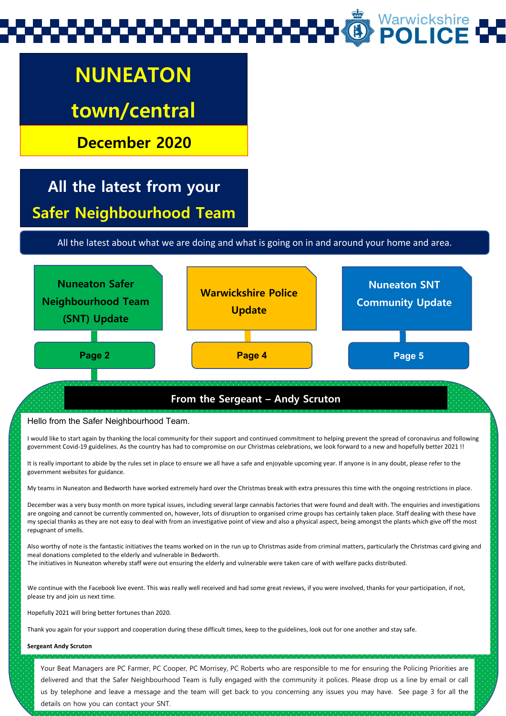## Warwickshire<br>**POLICE**

## **NUNEATON**

### **town/central**

**December 2020**

### **All the latest from your Safer Neighbourhood Team**

All the latest about what we are doing and what is going on in and around your home and area.



#### **From the Sergeant – Andy Scruton**

#### Hello from the Safer Neighbourhood Team.

I would like to start again by thanking the local community for their support and continued commitment to helping prevent the spread of coronavirus and following government Covid-19 guidelines. As the country has had to compromise on our Christmas celebrations, we look forward to a new and hopefully better 2021 !!

It is really important to abide by the rules set in place to ensure we all have a safe and enjoyable upcoming year. If anyone is in any doubt, please refer to the government websites for guidance.

My teams in Nuneaton and Bedworth have worked extremely hard over the Christmas break with extra pressures this time with the ongoing restrictions in place.

December was a very busy month on more typical issues, including several large cannabis factories that were found and dealt with. The enquiries and investigations are ongoing and cannot be currently commented on, however, lots of disruption to organised crime groups has certainly taken place. Staff dealing with these have my special thanks as they are not easy to deal with from an investigative point of view and also a physical aspect, being amongst the plants which give off the most repugnant of smells.

Also worthy of note is the fantastic initiatives the teams worked on in the run up to Christmas aside from criminal matters, particularly the Christmas card giving and meal donations completed to the elderly and vulnerable in Bedworth. The initiatives in Nuneaton whereby staff were out ensuring the elderly and vulnerable were taken care of with welfare packs distributed.

We continue with the Facebook live event. This was really well received and had some great reviews, if you were involved, thanks for your participation, if not,

Hopefully 2021 will bring better fortunes than 2020.

Thank you again for your support and cooperation during these difficult times, keep to the guidelines, look out for one another and stay safe.

#### **Sergeant Andy Scruton**

please try and join us next time.

Your Beat Managers are PC Farmer, PC Cooper, PC Morrisey, PC Roberts who are responsible to me for ensuring the Policing Priorities are<br>delivered and that the Safer Neighbourhood Team is fully engaged with the community it us by telephone and leave a message and the team will get back to you concerning any issues you may have. See page 3 for all the details on how you can contact your SNT.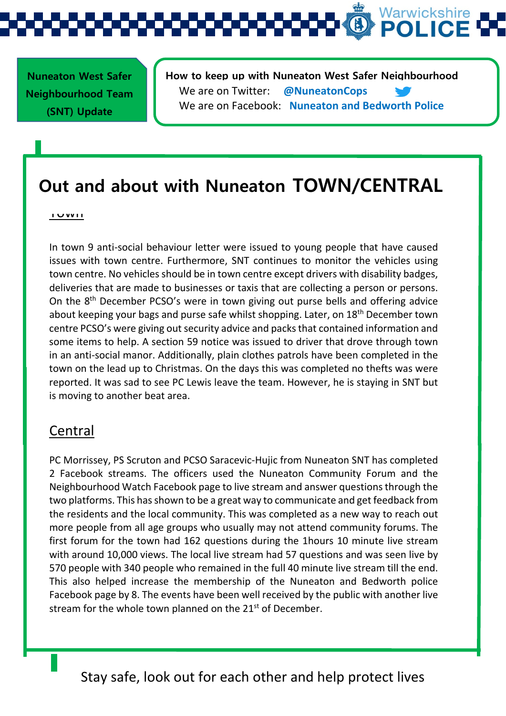

 **Nuneaton West Safer Neighbourhood Team (SNT) Update** 

**How to keep up with Nuneaton West Safer Neighbourhood**  We are on Twitter: **@NuneatonCops** We are on Facebook: **Nuneaton and Bedworth Police**

### **Out and about with Nuneaton TOWN/CENTRAL**

#### <u>I UWII</u>

In town 9 anti-social behaviour letter were issued to young people that have caused issues with town centre. Furthermore, SNT continues to monitor the vehicles using town centre. No vehicles should be in town centre except drivers with disability badges, deliveries that are made to businesses or taxis that are collecting a person or persons. On the 8th December PCSO's were in town giving out purse bells and offering advice about keeping your bags and purse safe whilst shopping. Later, on 18<sup>th</sup> December town centre PCSO's were giving out security advice and packs that contained information and some items to help. A section 59 notice was issued to driver that drove through town in an anti-social manor. Additionally, plain clothes patrols have been completed in the town on the lead up to Christmas. On the days this was completed no thefts was were reported. It was sad to see PC Lewis leave the team. However, he is staying in SNT but is moving to another beat area.

#### Central

PC Morrissey, PS Scruton and PCSO Saracevic-Hujic from Nuneaton SNT has completed 2 Facebook streams. The officers used the Nuneaton Community Forum and the Neighbourhood Watch Facebook page to live stream and answer questions through the two platforms. This has shown to be a great way to communicate and get feedback from the residents and the local community. This was completed as a new way to reach out more people from all age groups who usually may not attend community forums. The first forum for the town had 162 questions during the 1hours 10 minute live stream with around 10,000 views. The local live stream had 57 questions and was seen live by 570 people with 340 people who remained in the full 40 minute live stream till the end. This also helped increase the membership of the Nuneaton and Bedworth police Facebook page by 8. The events have been well received by the public with another live stream for the whole town planned on the  $21<sup>st</sup>$  of December.

Stay safe, look out for each other and help protect lives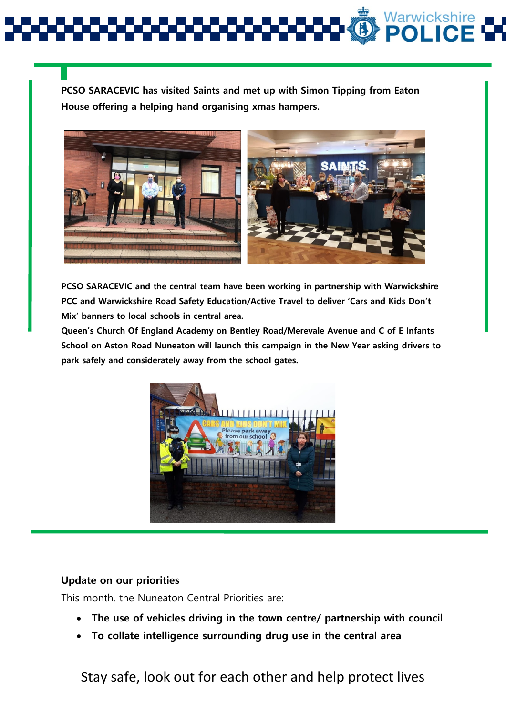**PCSO SARACEVIC has visited Saints and met up with Simon Tipping from Eaton House offering a helping hand organising xmas hampers.**



**PCSO SARACEVIC and the central team have been working in partnership with Warwickshire PCC and Warwickshire Road Safety Education/Active Travel to deliver 'Cars and Kids Don't Mix' banners to local schools in central area.**

**Queen's Church Of England Academy on Bentley Road/Merevale Avenue and C of E Infants School on Aston Road Nuneaton will launch this campaign in the New Year asking drivers to park safely and considerately away from the school gates.**



#### **Update on our priorities**

This month, the Nuneaton Central Priorities are:

- **The use of vehicles driving in the town centre/ partnership with council**
- **To collate intelligence surrounding drug use in the central area**

Stay safe, look out for each other and help protect lives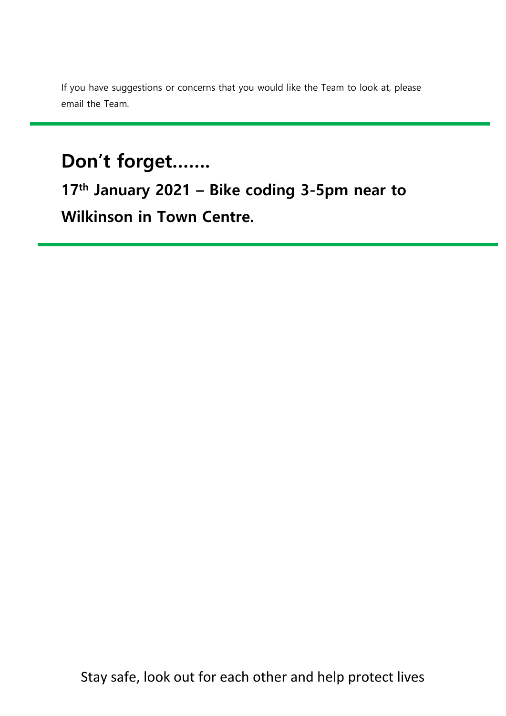If you have suggestions or concerns that you would like the Team to look at, please email the Team.

### **Don't forget…….**

**17th January 2021 – Bike coding 3-5pm near to Wilkinson in Town Centre.**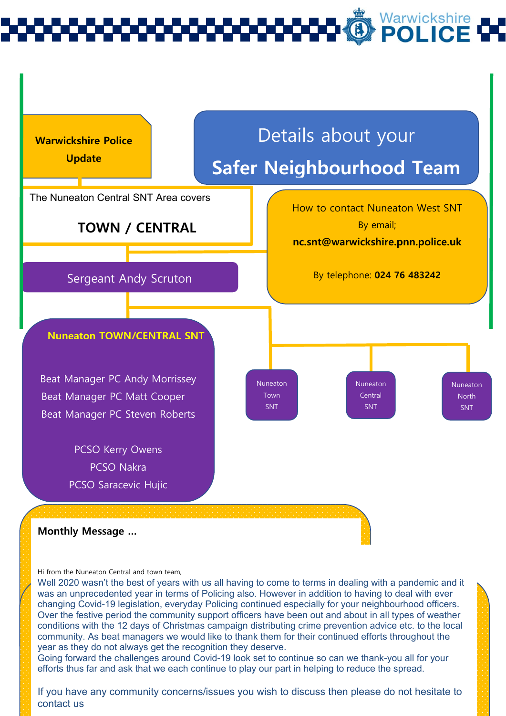# Warwickshire<br>**POLICE**



Hi from the Nuneaton Central and town team,

Well 2020 wasn't the best of years with us all having to come to terms in dealing with a pandemic and it was an unprecedented year in terms of Policing also. However in addition to having to deal with ever changing Covid-19 legislation, everyday Policing continued especially for your neighbourhood officers. Over the festive period the community support officers have been out and about in all types of weather conditions with the 12 days of Christmas campaign distributing crime prevention advice etc. to the local community. As beat managers we would like to thank them for their continued efforts throughout the year as they do not always get the recognition they deserve.

efforts thus far and ask that we each continue to play our part in helping to reduce the spread.<br>. Going forward the challenges around Covid-19 look set to continue so can we thank-you all for your

If you have any community concerns/issues you wish to discuss then please do not hesitate to contact us